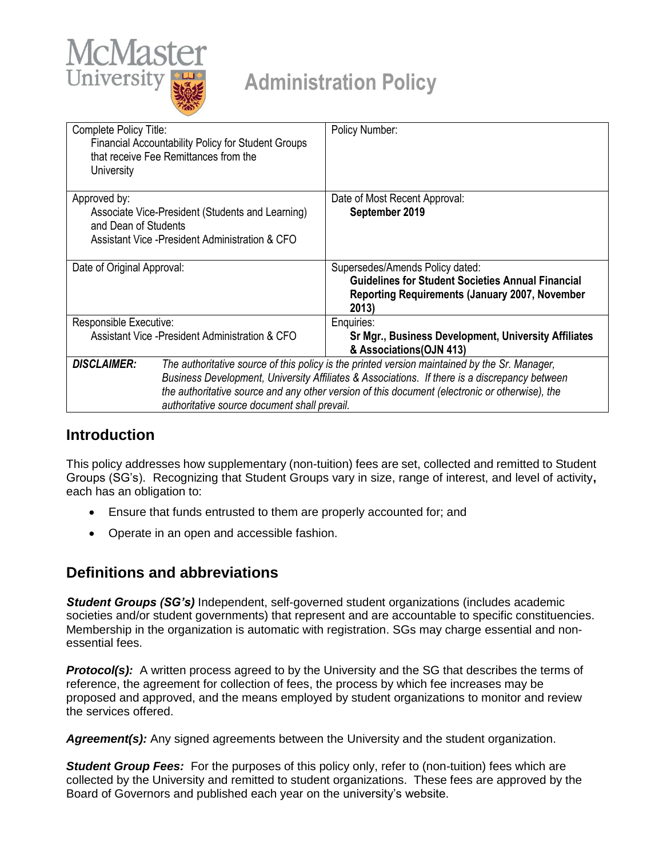

| Complete Policy Title:<br><b>Financial Accountability Policy for Student Groups</b><br>that receive Fee Remittances from the<br>University  |                                                                                                                                                                                                                                                                                                                                                  | Policy Number:                                                                                                                                                |  |  |
|---------------------------------------------------------------------------------------------------------------------------------------------|--------------------------------------------------------------------------------------------------------------------------------------------------------------------------------------------------------------------------------------------------------------------------------------------------------------------------------------------------|---------------------------------------------------------------------------------------------------------------------------------------------------------------|--|--|
| Approved by:<br>Associate Vice-President (Students and Learning)<br>and Dean of Students<br>Assistant Vice - President Administration & CFO |                                                                                                                                                                                                                                                                                                                                                  | Date of Most Recent Approval:<br>September 2019                                                                                                               |  |  |
| Date of Original Approval:                                                                                                                  |                                                                                                                                                                                                                                                                                                                                                  | Supersedes/Amends Policy dated:<br><b>Guidelines for Student Societies Annual Financial</b><br><b>Reporting Requirements (January 2007, November</b><br>2013) |  |  |
| Responsible Executive:                                                                                                                      |                                                                                                                                                                                                                                                                                                                                                  | Enquiries:                                                                                                                                                    |  |  |
| Assistant Vice - President Administration & CFO                                                                                             |                                                                                                                                                                                                                                                                                                                                                  | Sr Mgr., Business Development, University Affiliates<br>& Associations (OJN 413)                                                                              |  |  |
| <b>DISCLAIMER:</b>                                                                                                                          | The authoritative source of this policy is the printed version maintained by the Sr. Manager,<br>Business Development, University Affiliates & Associations. If there is a discrepancy between<br>the authoritative source and any other version of this document (electronic or otherwise), the<br>authoritative source document shall prevail. |                                                                                                                                                               |  |  |

## **Introduction**

This policy addresses how supplementary (non-tuition) fees are set, collected and remitted to Student Groups (SG's). Recognizing that Student Groups vary in size, range of interest, and level of activity**,**  each has an obligation to:

- Ensure that funds entrusted to them are properly accounted for; and
- Operate in an open and accessible fashion.

# **Definitions and abbreviations**

*Student Groups (SG's)* Independent, self-governed student organizations (includes academic societies and/or student governments) that represent and are accountable to specific constituencies. Membership in the organization is automatic with registration. SGs may charge essential and nonessential fees.

**Protocol(s):** A written process agreed to by the University and the SG that describes the terms of reference, the agreement for collection of fees, the process by which fee increases may be proposed and approved, and the means employed by student organizations to monitor and review the services offered.

*Agreement(s):* Any signed agreements between the University and the student organization.

**Student Group Fees:** For the purposes of this policy only, refer to (non-tuition) fees which are collected by the University and remitted to student organizations. These fees are approved by the Board of Governors and published each year on the university's website.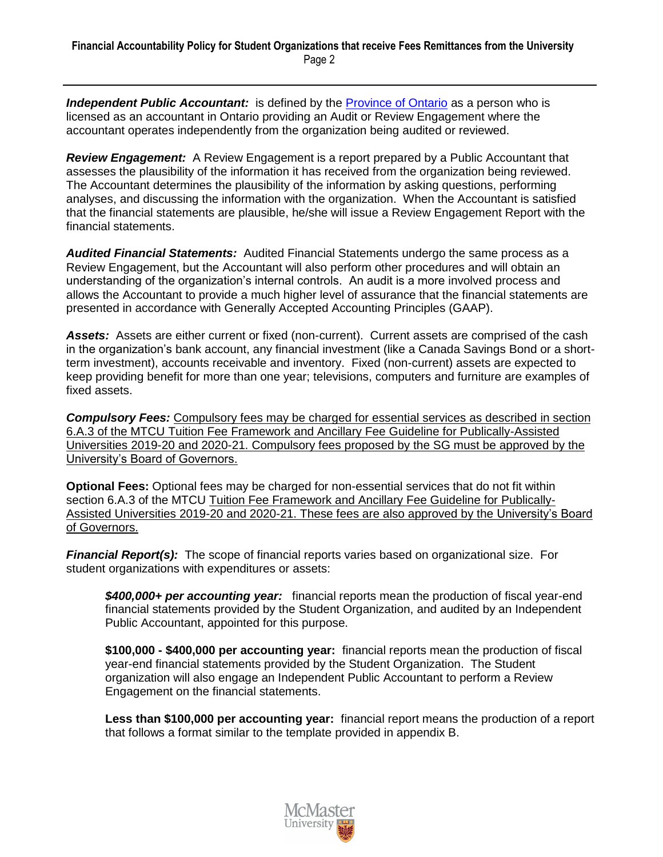**Independent Public Accountant:** is defined by the [Province of Ontario](http://www.e-laws.gov.on.ca/html/statutes/english/elaws_statutes_04p08_e.htm) as a person who is licensed as an accountant in Ontario providing an Audit or Review Engagement where the accountant operates independently from the organization being audited or reviewed.

*Review Engagement:* A Review Engagement is a report prepared by a Public Accountant that assesses the plausibility of the information it has received from the organization being reviewed. The Accountant determines the plausibility of the information by asking questions, performing analyses, and discussing the information with the organization. When the Accountant is satisfied that the financial statements are plausible, he/she will issue a Review Engagement Report with the financial statements.

*Audited Financial Statements:* Audited Financial Statements undergo the same process as a Review Engagement, but the Accountant will also perform other procedures and will obtain an understanding of the organization's internal controls. An audit is a more involved process and allows the Accountant to provide a much higher level of assurance that the financial statements are presented in accordance with Generally Accepted Accounting Principles (GAAP).

Assets: Assets are either current or fixed (non-current). Current assets are comprised of the cash in the organization's bank account, any financial investment (like a Canada Savings Bond or a shortterm investment), accounts receivable and inventory. Fixed (non-current) assets are expected to keep providing benefit for more than one year; televisions, computers and furniture are examples of fixed assets.

*Compulsory Fees:* Compulsory fees may be charged for essential services as described in section 6.A.3 of the MTCU Tuition Fee Framework and Ancillary Fee Guideline for Publically-Assisted Universities 2019-20 and 2020-21. Compulsory fees proposed by the SG must be approved by the University's Board of Governors.

**Optional Fees:** Optional fees may be charged for non-essential services that do not fit within section 6.A.3 of the MTCU Tuition Fee Framework and Ancillary Fee Guideline for Publically-Assisted Universities 2019-20 and 2020-21. These fees are also approved by the University's Board of Governors.

*Financial Report(s):* The scope of financial reports varies based on organizational size. For student organizations with expenditures or assets:

*\$400,000+ per accounting year:* financial reports mean the production of fiscal year-end financial statements provided by the Student Organization, and audited by an Independent Public Accountant, appointed for this purpose.

**\$100,000 - \$400,000 per accounting year:** financial reports mean the production of fiscal year-end financial statements provided by the Student Organization. The Student organization will also engage an Independent Public Accountant to perform a Review Engagement on the financial statements.

**Less than \$100,000 per accounting year:** financial report means the production of a report that follows a format similar to the template provided in appendix B.

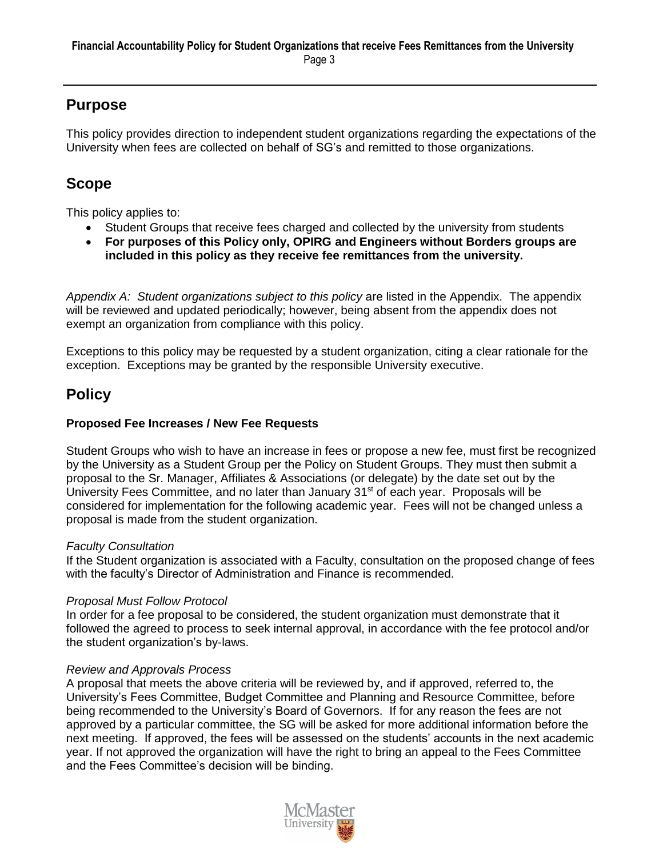# **Purpose**

This policy provides direction to independent student organizations regarding the expectations of the University when fees are collected on behalf of SG's and remitted to those organizations.

# **Scope**

This policy applies to:

- Student Groups that receive fees charged and collected by the university from students
- **For purposes of this Policy only, OPIRG and Engineers without Borders groups are included in this policy as they receive fee remittances from the university.**

*Appendix A: Student organizations subject to this policy* are listed in the Appendix. The appendix will be reviewed and updated periodically; however, being absent from the appendix does not exempt an organization from compliance with this policy.

Exceptions to this policy may be requested by a student organization, citing a clear rationale for the exception. Exceptions may be granted by the responsible University executive.

# **Policy**

## **Proposed Fee Increases / New Fee Requests**

Student Groups who wish to have an increase in fees or propose a new fee, must first be recognized by the University as a Student Group per the Policy on Student Groups. They must then submit a proposal to the Sr. Manager, Affiliates & Associations (or delegate) by the date set out by the University Fees Committee, and no later than January 31<sup>st</sup> of each year. Proposals will be considered for implementation for the following academic year. Fees will not be changed unless a proposal is made from the student organization.

## *Faculty Consultation*

If the Student organization is associated with a Faculty, consultation on the proposed change of fees with the faculty's Director of Administration and Finance is recommended.

## *Proposal Must Follow Protocol*

In order for a fee proposal to be considered, the student organization must demonstrate that it followed the agreed to process to seek internal approval, in accordance with the fee protocol and/or the student organization's by-laws.

## *Review and Approvals Process*

A proposal that meets the above criteria will be reviewed by, and if approved, referred to, the University's Fees Committee, Budget Committee and Planning and Resource Committee, before being recommended to the University's Board of Governors. If for any reason the fees are not approved by a particular committee, the SG will be asked for more additional information before the next meeting. If approved, the fees will be assessed on the students' accounts in the next academic year. If not approved the organization will have the right to bring an appeal to the Fees Committee and the Fees Committee's decision will be binding.

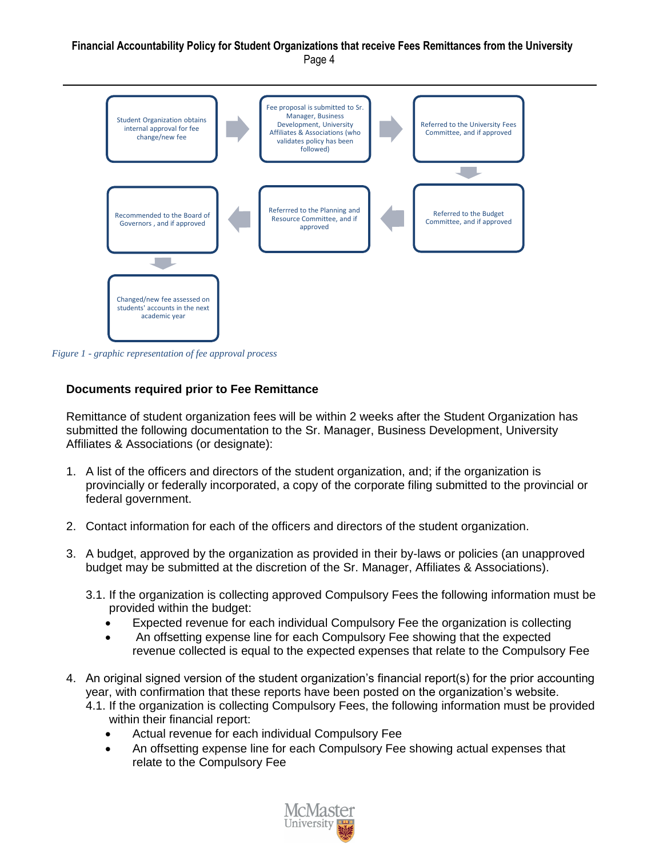#### **Financial Accountability Policy for Student Organizations that receive Fees Remittances from the University** Page 4



*Figure 1 - graphic representation of fee approval process*

### **Documents required prior to Fee Remittance**

Remittance of student organization fees will be within 2 weeks after the Student Organization has submitted the following documentation to the Sr. Manager, Business Development, University Affiliates & Associations (or designate):

- 1. A list of the officers and directors of the student organization, and; if the organization is provincially or federally incorporated, a copy of the corporate filing submitted to the provincial or federal government.
- 2. Contact information for each of the officers and directors of the student organization.
- 3. A budget, approved by the organization as provided in their by-laws or policies (an unapproved budget may be submitted at the discretion of the Sr. Manager, Affiliates & Associations).
	- 3.1. If the organization is collecting approved Compulsory Fees the following information must be provided within the budget:
		- Expected revenue for each individual Compulsory Fee the organization is collecting
		- An offsetting expense line for each Compulsory Fee showing that the expected revenue collected is equal to the expected expenses that relate to the Compulsory Fee
- 4. An original signed version of the student organization's financial report(s) for the prior accounting year, with confirmation that these reports have been posted on the organization's website.
	- 4.1. If the organization is collecting Compulsory Fees, the following information must be provided within their financial report:
		- Actual revenue for each individual Compulsory Fee
		- An offsetting expense line for each Compulsory Fee showing actual expenses that relate to the Compulsory Fee

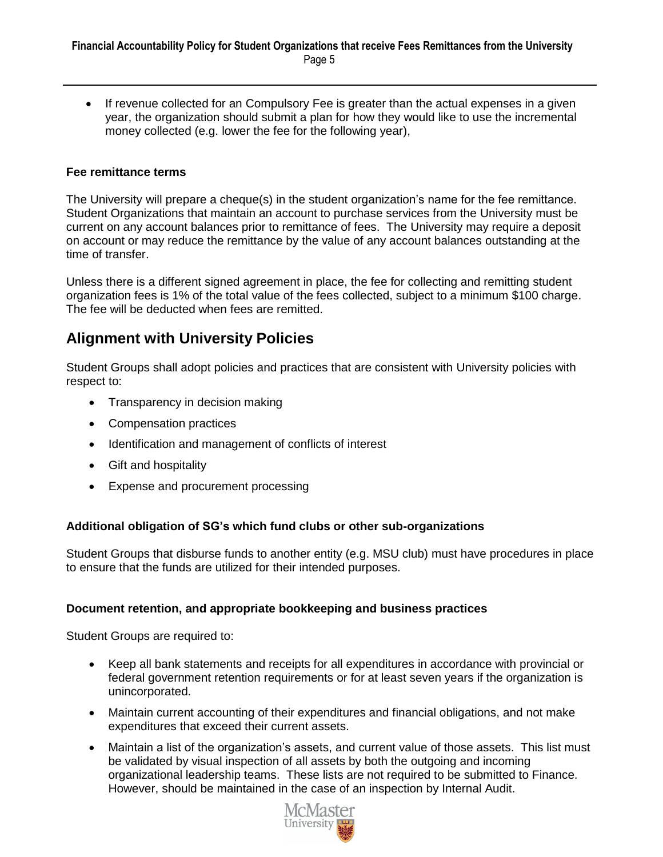• If revenue collected for an Compulsory Fee is greater than the actual expenses in a given year, the organization should submit a plan for how they would like to use the incremental money collected (e.g. lower the fee for the following year),

### **Fee remittance terms**

The University will prepare a cheque(s) in the student organization's name for the fee remittance. Student Organizations that maintain an account to purchase services from the University must be current on any account balances prior to remittance of fees. The University may require a deposit on account or may reduce the remittance by the value of any account balances outstanding at the time of transfer.

Unless there is a different signed agreement in place, the fee for collecting and remitting student organization fees is 1% of the total value of the fees collected, subject to a minimum \$100 charge. The fee will be deducted when fees are remitted.

# **Alignment with University Policies**

Student Groups shall adopt policies and practices that are consistent with University policies with respect to:

- Transparency in decision making
- Compensation practices
- Identification and management of conflicts of interest
- Gift and hospitality
- Expense and procurement processing

## **Additional obligation of SG's which fund clubs or other sub-organizations**

Student Groups that disburse funds to another entity (e.g. MSU club) must have procedures in place to ensure that the funds are utilized for their intended purposes.

### **Document retention, and appropriate bookkeeping and business practices**

Student Groups are required to:

- Keep all bank statements and receipts for all expenditures in accordance with provincial or federal government retention requirements or for at least seven years if the organization is unincorporated.
- Maintain current accounting of their expenditures and financial obligations, and not make expenditures that exceed their current assets.
- Maintain a list of the organization's assets, and current value of those assets. This list must be validated by visual inspection of all assets by both the outgoing and incoming organizational leadership teams. These lists are not required to be submitted to Finance. However, should be maintained in the case of an inspection by Internal Audit.

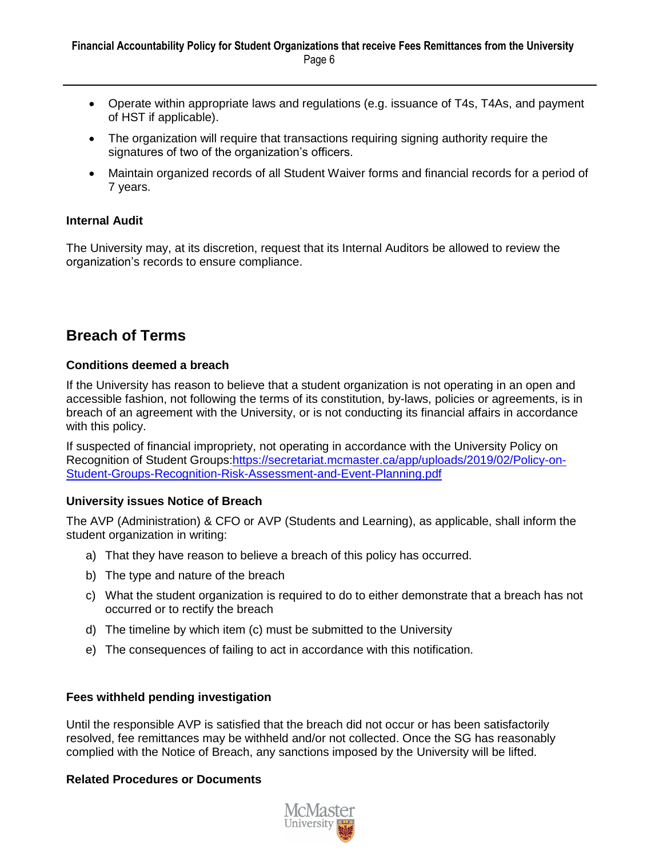- Operate within appropriate laws and regulations (e.g. issuance of T4s, T4As, and payment of HST if applicable).
- The organization will require that transactions requiring signing authority require the signatures of two of the organization's officers.
- Maintain organized records of all Student Waiver forms and financial records for a period of 7 years.

### **Internal Audit**

The University may, at its discretion, request that its Internal Auditors be allowed to review the organization's records to ensure compliance.

# **Breach of Terms**

### **Conditions deemed a breach**

If the University has reason to believe that a student organization is not operating in an open and accessible fashion, not following the terms of its constitution, by-laws, policies or agreements, is in breach of an agreement with the University, or is not conducting its financial affairs in accordance with this policy.

If suspected of financial impropriety, not operating in accordance with the University Policy on Recognition of Student Groups[:https://secretariat.mcmaster.ca/app/uploads/2019/02/Policy-on-](https://secretariat.mcmaster.ca/app/uploads/2019/02/Policy-on-Student-Groups-Recognition-Risk-Assessment-and-Event-Planning.pdf)[Student-Groups-Recognition-Risk-Assessment-and-Event-Planning.pdf](https://secretariat.mcmaster.ca/app/uploads/2019/02/Policy-on-Student-Groups-Recognition-Risk-Assessment-and-Event-Planning.pdf)

### **University issues Notice of Breach**

The AVP (Administration) & CFO or AVP (Students and Learning), as applicable, shall inform the student organization in writing:

- a) That they have reason to believe a breach of this policy has occurred.
- b) The type and nature of the breach
- c) What the student organization is required to do to either demonstrate that a breach has not occurred or to rectify the breach
- d) The timeline by which item (c) must be submitted to the University
- e) The consequences of failing to act in accordance with this notification.

### **Fees withheld pending investigation**

Until the responsible AVP is satisfied that the breach did not occur or has been satisfactorily resolved, fee remittances may be withheld and/or not collected. Once the SG has reasonably complied with the Notice of Breach, any sanctions imposed by the University will be lifted.

### **Related Procedures or Documents**

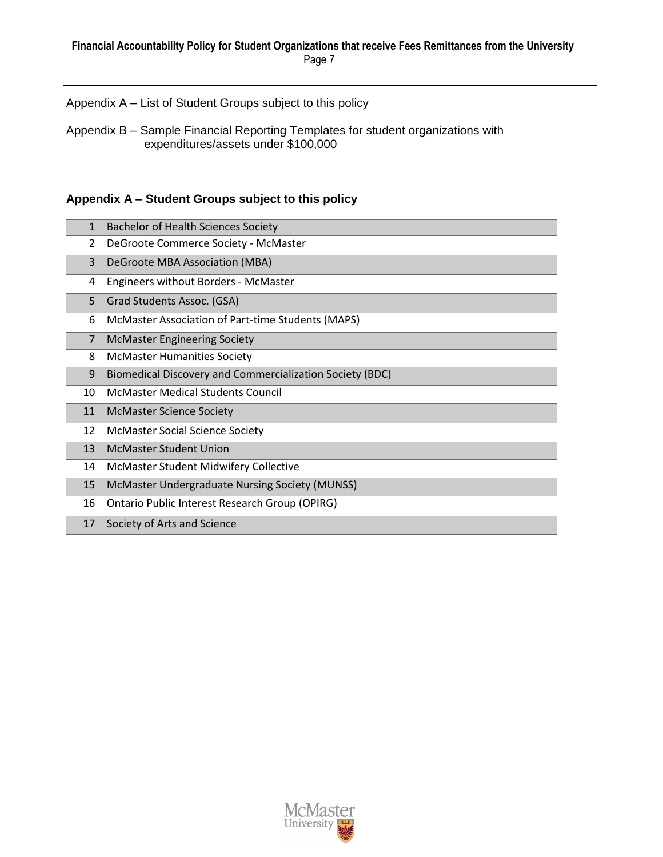Appendix A – List of Student Groups subject to this policy

Appendix B – Sample Financial Reporting Templates for student organizations with expenditures/assets under \$100,000

## **Appendix A – Student Groups subject to this policy**

| $\overline{2}$ | DeGroote Commerce Society - McMaster                     |  |
|----------------|----------------------------------------------------------|--|
| 3              | DeGroote MBA Association (MBA)                           |  |
| 4              | Engineers without Borders - McMaster                     |  |
| 5              | Grad Students Assoc. (GSA)                               |  |
| 6              | McMaster Association of Part-time Students (MAPS)        |  |
| $\overline{7}$ | <b>McMaster Engineering Society</b>                      |  |
| 8              | <b>McMaster Humanities Society</b>                       |  |
| 9              | Biomedical Discovery and Commercialization Society (BDC) |  |
| 10             | <b>McMaster Medical Students Council</b>                 |  |
| 11             | <b>McMaster Science Society</b>                          |  |
| 12             | <b>McMaster Social Science Society</b>                   |  |
| 13             | <b>McMaster Student Union</b>                            |  |
| 14             | McMaster Student Midwifery Collective                    |  |
| 15             | McMaster Undergraduate Nursing Society (MUNSS)           |  |
| 16             | Ontario Public Interest Research Group (OPIRG)           |  |
| 17             | Society of Arts and Science                              |  |